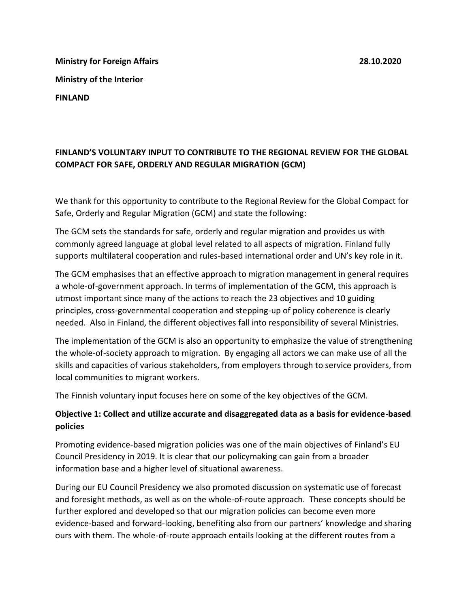**Ministry for Foreign Affairs 28.10.2020 Ministry of the Interior FINLAND**

# **FINLAND'S VOLUNTARY INPUT TO CONTRIBUTE TO THE REGIONAL REVIEW FOR THE GLOBAL COMPACT FOR SAFE, ORDERLY AND REGULAR MIGRATION (GCM)**

We thank for this opportunity to contribute to the Regional Review for the Global Compact for Safe, Orderly and Regular Migration (GCM) and state the following:

The GCM sets the standards for safe, orderly and regular migration and provides us with commonly agreed language at global level related to all aspects of migration. Finland fully supports multilateral cooperation and rules-based international order and UN's key role in it.

The GCM emphasises that an effective approach to migration management in general requires a whole-of-government approach. In terms of implementation of the GCM, this approach is utmost important since many of the actions to reach the 23 objectives and 10 guiding principles, cross-governmental cooperation and stepping-up of policy coherence is clearly needed. Also in Finland, the different objectives fall into responsibility of several Ministries.

The implementation of the GCM is also an opportunity to emphasize the value of strengthening the whole-of-society approach to migration. By engaging all actors we can make use of all the skills and capacities of various stakeholders, from employers through to service providers, from local communities to migrant workers.

The Finnish voluntary input focuses here on some of the key objectives of the GCM.

# **Objective 1: Collect and utilize accurate and disaggregated data as a basis for evidence-based policies**

Promoting evidence-based migration policies was one of the main objectives of Finland's EU Council Presidency in 2019. It is clear that our policymaking can gain from a broader information base and a higher level of situational awareness.

During our EU Council Presidency we also promoted discussion on systematic use of forecast and foresight methods, as well as on the whole-of-route approach. These concepts should be further explored and developed so that our migration policies can become even more evidence-based and forward-looking, benefiting also from our partners' knowledge and sharing ours with them. The whole-of-route approach entails looking at the different routes from a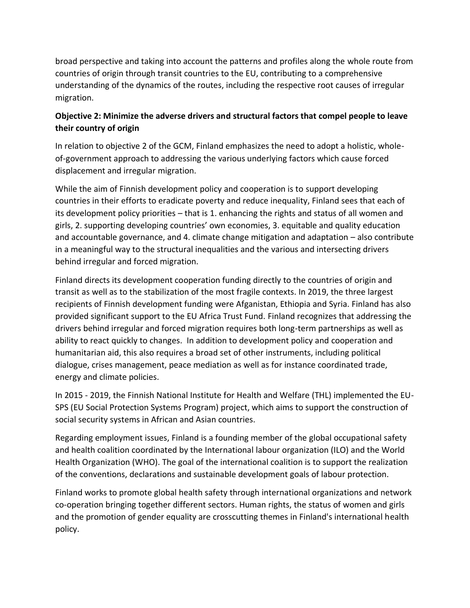broad perspective and taking into account the patterns and profiles along the whole route from countries of origin through transit countries to the EU, contributing to a comprehensive understanding of the dynamics of the routes, including the respective root causes of irregular migration.

# **Objective 2: Minimize the adverse drivers and structural factors that compel people to leave their country of origin**

In relation to objective 2 of the GCM, Finland emphasizes the need to adopt a holistic, wholeof-government approach to addressing the various underlying factors which cause forced displacement and irregular migration.

While the aim of Finnish development policy and cooperation is to support developing countries in their efforts to eradicate poverty and reduce inequality, Finland sees that each of its development policy priorities – that is 1. enhancing the rights and status of all women and girls, 2. supporting developing countries' own economies, 3. equitable and quality education and accountable governance, and 4. climate change mitigation and adaptation – also contribute in a meaningful way to the structural inequalities and the various and intersecting drivers behind irregular and forced migration.

Finland directs its development cooperation funding directly to the countries of origin and transit as well as to the stabilization of the most fragile contexts. In 2019, the three largest recipients of Finnish development funding were Afganistan, Ethiopia and Syria. Finland has also provided significant support to the EU Africa Trust Fund. Finland recognizes that addressing the drivers behind irregular and forced migration requires both long-term partnerships as well as ability to react quickly to changes. In addition to development policy and cooperation and humanitarian aid, this also requires a broad set of other instruments, including political dialogue, crises management, peace mediation as well as for instance coordinated trade, energy and climate policies.

In 2015 - 2019, the Finnish National Institute for Health and Welfare (THL) implemented the EU-SPS (EU Social Protection Systems Program) project, which aims to support the construction of social security systems in African and Asian countries.

Regarding employment issues, Finland is a founding member of the global occupational safety and health coalition coordinated by the International labour organization (ILO) and the World Health Organization (WHO). The goal of the international coalition is to support the realization of the conventions, declarations and sustainable development goals of labour protection.

Finland works to promote global health safety through international organizations and network co-operation bringing together different sectors. Human rights, the status of women and girls and the promotion of gender equality are crosscutting themes in Finland's international health policy.